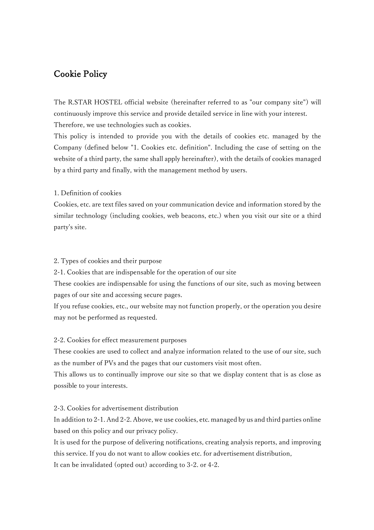# Cookie Policy

The R.STAR HOSTEL official website (hereinafter referred to as "our company site") will continuously improve this service and provide detailed service in line with your interest. Therefore, we use technologies such as cookies.

This policy is intended to provide you with the details of cookies etc. managed by the Company (defined below "1. Cookies etc. definition". Including the case of setting on the website of a third party, the same shall apply hereinafter), with the details of cookies managed by a third party and finally, with the management method by users.

#### 1. Definition of cookies

Cookies, etc. are text files saved on your communication device and information stored by the similar technology (including cookies, web beacons, etc.) when you visit our site or a third party's site.

### 2. Types of cookies and their purpose

2-1. Cookies that are indispensable for the operation of our site

These cookies are indispensable for using the functions of our site, such as moving between pages of our site and accessing secure pages.

If you refuse cookies, etc., our website may not function properly, or the operation you desire may not be performed as requested.

#### 2-2. Cookies for effect measurement purposes

These cookies are used to collect and analyze information related to the use of our site, such as the number of PVs and the pages that our customers visit most often.

This allows us to continually improve our site so that we display content that is as close as possible to your interests.

## 2-3. Cookies for advertisement distribution

In addition to 2-1. And 2-2. Above, we use cookies, etc. managed by us and third parties online based on this policy and our privacy policy.

It is used for the purpose of delivering notifications, creating analysis reports, and improving this service. If you do not want to allow cookies etc. for advertisement distribution, It can be invalidated (opted out) according to 3-2. or 4-2.